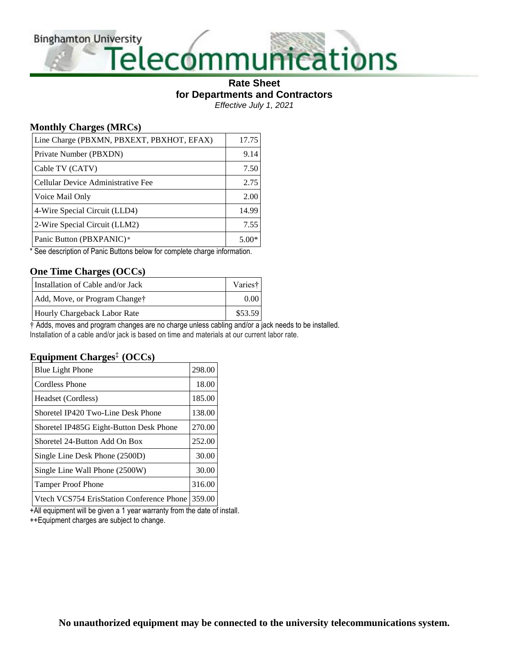**Binghamton University** 

# versity<br>Telecommunications

#### **Rate Sheet for Departments and Contractors** *Effective July 1, 2021*

### **Monthly Charges (MRCs)**

| Line Charge (PBXMN, PBXEXT, PBXHOT, EFAX) | 17.75   |
|-------------------------------------------|---------|
| Private Number (PBXDN)                    | 9.14    |
| Cable TV (CATV)                           | 7.50    |
| Cellular Device Administrative Fee        | 2.75    |
| Voice Mail Only                           | 2.00    |
| 4-Wire Special Circuit (LLD4)             | 14.99   |
| 2-Wire Special Circuit (LLM2)             | 7.55    |
| Panic Button (PBXPANIC)*                  | $5.00*$ |

\* See description of Panic Buttons below for complete charge information.

## **One Time Charges (OCCs)**

| Installation of Cable and/or Jack | Varies† |
|-----------------------------------|---------|
| Add, Move, or Program Change†     | 0.00    |
| Hourly Chargeback Labor Rate      | \$53.59 |

† Adds, moves and program changes are no charge unless cabling and/or a jack needs to be installed. Installation of a cable and/or jack is based on time and materials at our current labor rate.

#### **Equipment Charges‡ (OCCs)**

| <b>Blue Light Phone</b>                                                                                                     | 298.00 |
|-----------------------------------------------------------------------------------------------------------------------------|--------|
| <b>Cordless Phone</b>                                                                                                       | 18.00  |
| Headset (Cordless)                                                                                                          | 185.00 |
| Shoretel IP420 Two-Line Desk Phone                                                                                          | 138.00 |
| Shoretel IP485G Eight-Button Desk Phone                                                                                     | 270.00 |
| Shoretel 24-Button Add On Box                                                                                               | 252.00 |
| Single Line Desk Phone (2500D)                                                                                              | 30.00  |
| Single Line Wall Phone (2500W)                                                                                              | 30.00  |
| <b>Tamper Proof Phone</b>                                                                                                   | 316.00 |
| $N_{t+1}$ $N_{t}$ CC $75.4$ $\Gamma_{t}$ $\Omega_{t+1}$ on $\Gamma_{t}$ $\Omega_{t}$ $\Omega_{t}$ $\Omega_{t}$ $\Omega_{t}$ | 250.00 |

Vtech VCS754 ErisStation Conference Phone | 359.00 |

+All equipment will be given a 1 year warranty from the date of install.

++Equipment charges are subject to change.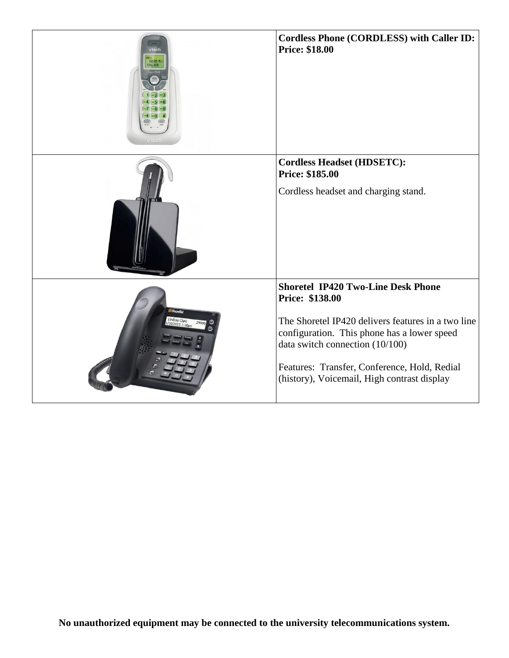| 800-595-951<br>08.2130           | <b>Cordless Phone (CORDLESS) with Caller ID:</b><br><b>Price: \$18.00</b>                                                                                                                                                                                                                           |
|----------------------------------|-----------------------------------------------------------------------------------------------------------------------------------------------------------------------------------------------------------------------------------------------------------------------------------------------------|
|                                  | <b>Cordless Headset (HDSETC):</b><br>Price: \$185.00<br>Cordless headset and charging stand.                                                                                                                                                                                                        |
| <b>ShoreTel</b><br>Lindsay Clark | <b>Shoretel IP420 Two-Line Desk Phone</b><br>Price: \$138.00<br>The Shoretel IP420 delivers features in a two line<br>configuration. This phone has a lower speed<br>data switch connection (10/100)<br>Features: Transfer, Conference, Hold, Redial<br>(history), Voicemail, High contrast display |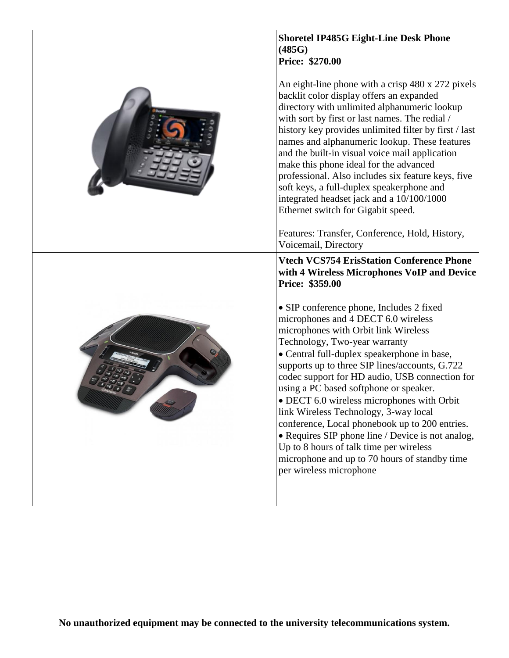| <b>Shoretel IP485G Eight-Line Desk Phone</b><br>(485G)<br><b>Price: \$270.00</b>                                                                                                                                                                                                                                                                                                                                                                                                                                                                                                                                                                                           |
|----------------------------------------------------------------------------------------------------------------------------------------------------------------------------------------------------------------------------------------------------------------------------------------------------------------------------------------------------------------------------------------------------------------------------------------------------------------------------------------------------------------------------------------------------------------------------------------------------------------------------------------------------------------------------|
| An eight-line phone with a crisp 480 x 272 pixels<br>backlit color display offers an expanded<br>directory with unlimited alphanumeric lookup<br>with sort by first or last names. The redial /<br>history key provides unlimited filter by first / last<br>names and alphanumeric lookup. These features<br>and the built-in visual voice mail application<br>make this phone ideal for the advanced<br>professional. Also includes six feature keys, five<br>soft keys, a full-duplex speakerphone and<br>integrated headset jack and a 10/100/1000<br>Ethernet switch for Gigabit speed.                                                                                |
| Features: Transfer, Conference, Hold, History,<br>Voicemail, Directory                                                                                                                                                                                                                                                                                                                                                                                                                                                                                                                                                                                                     |
| <b>Vtech VCS754 ErisStation Conference Phone</b><br>with 4 Wireless Microphones VoIP and Device<br>Price: \$359.00                                                                                                                                                                                                                                                                                                                                                                                                                                                                                                                                                         |
| • SIP conference phone, Includes 2 fixed<br>microphones and 4 DECT 6.0 wireless<br>microphones with Orbit link Wireless<br>Technology, Two-year warranty<br>• Central full-duplex speakerphone in base,<br>supports up to three SIP lines/accounts, G.722<br>codec support for HD audio, USB connection for<br>using a PC based softphone or speaker.<br>• DECT 6.0 wireless microphones with Orbit<br>link Wireless Technology, 3-way local<br>conference, Local phonebook up to 200 entries.<br>• Requires SIP phone line / Device is not analog,<br>Up to 8 hours of talk time per wireless<br>microphone and up to 70 hours of standby time<br>per wireless microphone |